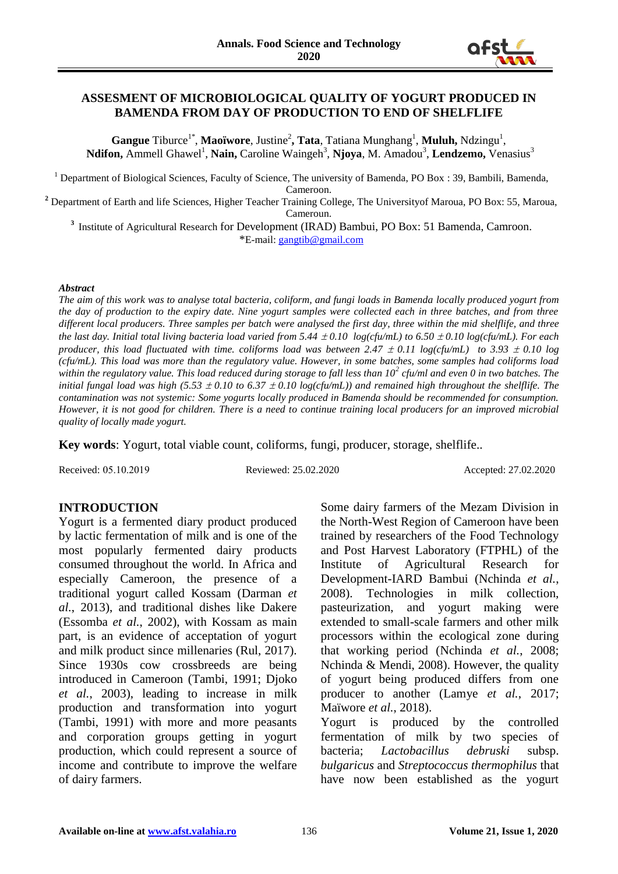

### **ASSESMENT OF MICROBIOLOGICAL QUALITY OF YOGURT PRODUCED IN BAMENDA FROM DAY OF PRODUCTION TO END OF SHELFLIFE**

Gangue Tiburce<sup>1\*</sup>, Maoïwore, Justine<sup>2</sup>, Tata, Tatiana Munghang<sup>1</sup>, Muluh, Ndzingu<sup>1</sup>, Ndifon, Ammell Ghawel<sup>1</sup>, Nain, Caroline Waingeh<sup>3</sup>, Njoya, M. Amadou<sup>3</sup>, Lendzemo, Venasius<sup>3</sup>

<sup>1</sup> Department of Biological Sciences, Faculty of Science, The university of Bamenda, PO Box : 39, Bambili, Bamenda, Cameroon.

**<sup>2</sup>** Department of Earth and life Sciences, Higher Teacher Training College, The Universityof Maroua, PO Box: 55, Maroua, Cameroun.

<sup>3</sup> Institute of Agricultural Research for Development (IRAD) Bambui, PO Box: 51 Bamenda, Camroon. \*E-mail[: gangtib@gmail.com](mailto:gangtib@gmail.com)

#### *Abstract*

*The aim of this work was to analyse total bacteria, coliform, and fungi loads in Bamenda locally produced yogurt from the day of production to the expiry date. Nine yogurt samples were collected each in three batches, and from three different local producers. Three samples per batch were analysed the first day, three within the mid shelflife, and three the last day. Initial total living bacteria load varied from 5.44*  $\pm$  *0.10 log(cfu/mL) to 6.50*  $\pm$  *0.10 log(cfu/mL). For each producer, this load fluctuated with time. coliforms load was between 2.47*  $\pm$  *0.11 log(cfu/mL) to 3.93*  $\pm$  *0.10 log (cfu/mL). This load was more than the regulatory value. However, in some batches, some samples had coliforms load within the regulatory value. This load reduced during storage to fall less than 10<sup>2</sup> cfu/ml and even 0 in two batches. The initial fungal load was high (5.53*  $\pm$  *0.10 to 6.37*  $\pm$  *0.10 log(cfu/mL)) and remained high throughout the shelflife. The contamination was not systemic: Some yogurts locally produced in Bamenda should be recommended for consumption. However, it is not good for children. There is a need to continue training local producers for an improved microbial quality of locally made yogurt.* 

**Key words**: Yogurt, total viable count, coliforms, fungi, producer, storage, shelflife..

Received: 05.10.2019 Reviewed: 25.02.2020 Accepted: 27.02.2020

### **INTRODUCTION**

Yogurt is a fermented diary product produced by lactic fermentation of milk and is one of the most popularly fermented dairy products consumed throughout the world. In Africa and especially Cameroon, the presence of a traditional yogurt called Kossam (Darman *et al.*, 2013), and traditional dishes like Dakere (Essomba *et al.*, 2002), with Kossam as main part, is an evidence of acceptation of yogurt and milk product since millenaries (Rul, 2017). Since 1930s cow crossbreeds are being introduced in Cameroon (Tambi, 1991; Djoko *et al.*, 2003), leading to increase in milk production and transformation into yogurt (Tambi, 1991) with more and more peasants and corporation groups getting in yogurt production, which could represent a source of income and contribute to improve the welfare of dairy farmers.

Some dairy farmers of the Mezam Division in the North-West Region of Cameroon have been trained by researchers of the Food Technology and Post Harvest Laboratory (FTPHL) of the Institute of Agricultural Research for Development-IARD Bambui (Nchinda *et al.*, 2008). Technologies in milk collection, pasteurization, and yogurt making were extended to small-scale farmers and other milk processors within the ecological zone during that working period (Nchinda *et al.*, 2008; Nchinda & Mendi, 2008). However, the quality of yogurt being produced differs from one producer to another (Lamye *et al.*, 2017; Maïwore *et al.*, 2018). Yogurt is produced by the controlled fermentation of milk by two species of

bacteria; *Lactobacillus debruski* subsp. *bulgaricus* and *Streptococcus thermophilus* that have now been established as the yogurt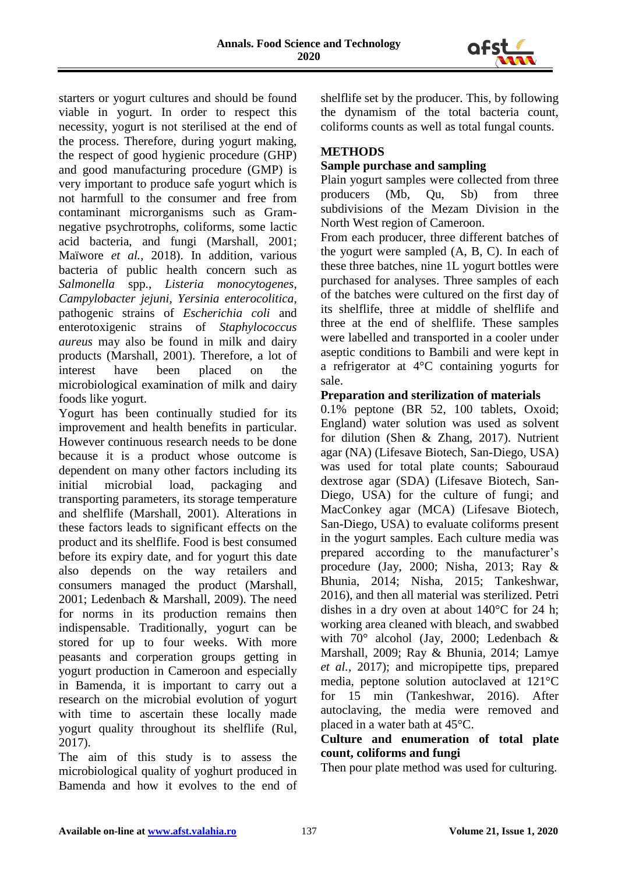

starters or yogurt cultures and should be found viable in yogurt. In order to respect this necessity, yogurt is not sterilised at the end of the process. Therefore, during yogurt making, the respect of good hygienic procedure (GHP) and good manufacturing procedure (GMP) is very important to produce safe yogurt which is not harmfull to the consumer and free from contaminant microrganisms such as Gramnegative psychrotrophs, coliforms, some lactic acid bacteria, and fungi (Marshall, 2001; Maïwore *et al.*, 2018). In addition, various bacteria of public health concern such as *Salmonella* spp., *Listeria monocytogenes*, *Campylobacter jejuni*, *Yersinia enterocolitica*, pathogenic strains of *Escherichia coli* and enterotoxigenic strains of *Staphylococcus aureus* may also be found in milk and dairy products (Marshall, 2001). Therefore, a lot of interest have been placed on the microbiological examination of milk and dairy foods like yogurt.

Yogurt has been continually studied for its improvement and health benefits in particular. However continuous research needs to be done because it is a product whose outcome is dependent on many other factors including its initial microbial load, packaging and transporting parameters, its storage temperature and shelflife (Marshall, 2001). Alterations in these factors leads to significant effects on the product and its shelflife. Food is best consumed before its expiry date, and for yogurt this date also depends on the way retailers and consumers managed the product (Marshall, 2001; Ledenbach & Marshall, 2009). The need for norms in its production remains then indispensable. Traditionally, yogurt can be stored for up to four weeks. With more peasants and corperation groups getting in yogurt production in Cameroon and especially in Bamenda, it is important to carry out a research on the microbial evolution of yogurt with time to ascertain these locally made yogurt quality throughout its shelflife (Rul, 2017).

The aim of this study is to assess the microbiological quality of yoghurt produced in Bamenda and how it evolves to the end of shelflife set by the producer. This, by following the dynamism of the total bacteria count, coliforms counts as well as total fungal counts.

# **METHODS**

# **Sample purchase and sampling**

Plain yogurt samples were collected from three producers (Mb, Qu, Sb) from three subdivisions of the Mezam Division in the North West region of Cameroon.

From each producer, three different batches of the yogurt were sampled (A, B, C). In each of these three batches, nine 1L yogurt bottles were purchased for analyses. Three samples of each of the batches were cultured on the first day of its shelflife, three at middle of shelflife and three at the end of shelflife. These samples were labelled and transported in a cooler under aseptic conditions to Bambili and were kept in a refrigerator at 4°C containing yogurts for sale.

### **Preparation and sterilization of materials**

0.1% peptone (BR 52, 100 tablets, Oxoid; England) water solution was used as solvent for dilution (Shen & Zhang, 2017). Nutrient agar (NA) (Lifesave Biotech, San-Diego, USA) was used for total plate counts; Sabouraud dextrose agar (SDA) (Lifesave Biotech, San-Diego, USA) for the culture of fungi; and MacConkey agar (MCA) (Lifesave Biotech, San-Diego, USA) to evaluate coliforms present in the yogurt samples. Each culture media was prepared according to the manufacturer's procedure (Jay, 2000; Nisha, 2013; Ray & Bhunia, 2014; Nisha, 2015; Tankeshwar, 2016), and then all material was sterilized. Petri dishes in a dry oven at about 140°C for 24 h; working area cleaned with bleach, and swabbed with 70° alcohol (Jay, 2000; Ledenbach & Marshall, 2009; Ray & Bhunia, 2014; Lamye *et al.*, 2017); and micropipette tips, prepared media, peptone solution autoclaved at 121°C for 15 min (Tankeshwar, 2016). After autoclaving, the media were removed and placed in a water bath at 45°C.

# **Culture and enumeration of total plate count, coliforms and fungi**

Then pour plate method was used for culturing.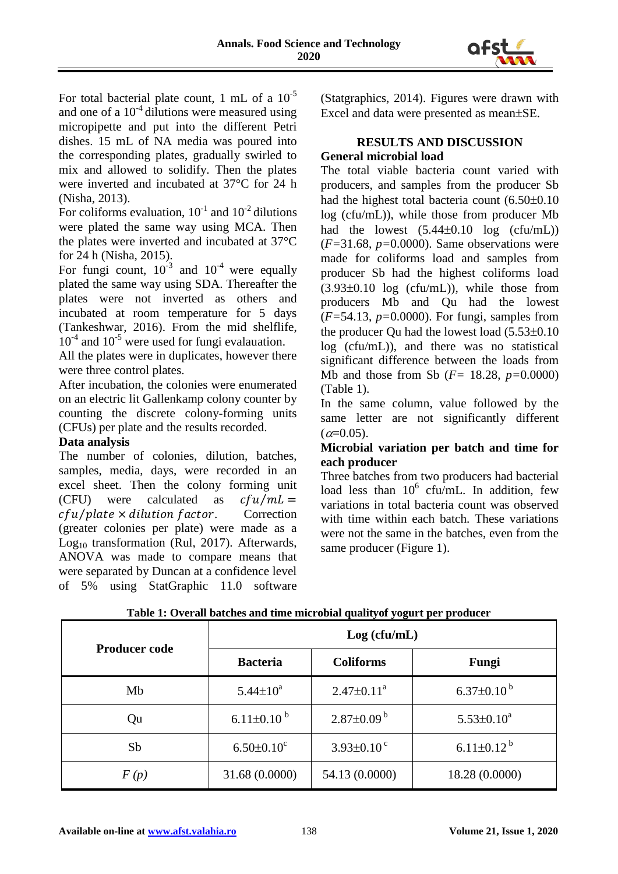

For total bacterial plate count, 1 mL of a 10-5 and one of a  $10^{-4}$  dilutions were measured using micropipette and put into the different Petri dishes. 15 mL of NA media was poured into the corresponding plates, gradually swirled to mix and allowed to solidify. Then the plates were inverted and incubated at 37°C for 24 h (Nisha, 2013).

For coliforms evaluation,  $10^{-1}$  and  $10^{-2}$  dilutions were plated the same way using MCA. Then the plates were inverted and incubated at 37°C for 24 h (Nisha, 2015).

For fungi count,  $10^{-3}$  and  $10^{-4}$  were equally plated the same way using SDA. Thereafter the plates were not inverted as others and incubated at room temperature for 5 days (Tankeshwar, 2016). From the mid shelflife, 10<sup>-4</sup> and 10<sup>-5</sup> were used for fungi evalauation.

All the plates were in duplicates, however there were three control plates.

After incubation, the colonies were enumerated on an electric lit Gallenkamp colony counter by counting the discrete colony-forming units (CFUs) per plate and the results recorded.

# **Data analysis**

The number of colonies, dilution, batches, samples, media, days, were recorded in an excel sheet. Then the colony forming unit (CFU) were calculated as  $cfu/mL =$  $cfu/plate \times dilution factor.$  Correction (greater colonies per plate) were made as a Log<sub>10</sub> transformation (Rul, 2017). Afterwards, ANOVA was made to compare means that were separated by Duncan at a confidence level of 5% using StatGraphic 11.0 software (Statgraphics, 2014). Figures were drawn with Excel and data were presented as mean $\pm$ SE.

## **RESULTS AND DISCUSSION General microbial load**

The total viable bacteria count varied with producers, and samples from the producer Sb had the highest total bacteria count  $(6.50\pm0.10$ log (cfu/mL)), while those from producer Mb had the lowest  $(5.44\pm0.10 \text{ log} (c \text{fu/mL}))$ (*F=*31.68, *p=*0.0000). Same observations were made for coliforms load and samples from producer Sb had the highest coliforms load  $(3.93\pm0.10)$  log (cfu/mL)), while those from producers Mb and Qu had the lowest (*F=*54.13, *p=*0.0000). For fungi, samples from the producer Qu had the lowest load  $(5.53\pm0.10)$ log (cfu/mL)), and there was no statistical significant difference between the loads from Mb and those from Sb (*F=* 18.28, *p=*0.0000) (Table 1).

In the same column, value followed by the same letter are not significantly different  $(\alpha=0.05)$ .

## **Microbial variation per batch and time for each producer**

Three batches from two producers had bacterial load less than  $10^6$  cfu/mL. In addition, few variations in total bacteria count was observed with time within each batch. These variations were not the same in the batches, even from the same producer (Figure 1).

| <b>Producer code</b> | Log (cfu/mL)                 |                              |                     |
|----------------------|------------------------------|------------------------------|---------------------|
|                      | <b>Bacteria</b>              | <b>Coliforms</b>             | Fungi               |
| Mb                   | $5.44 \pm 10^a$              | $2.47 \pm 0.11^a$            | $6.37 \pm 0.10^{b}$ |
| Qu                   | 6.11 $\pm$ 0.10 <sup>b</sup> | $2.87 \pm 0.09^{\mathrm{b}}$ | $5.53 \pm 0.10^a$   |
| Sb                   | $6.50 \pm 0.10$ <sup>c</sup> | $3.93 \pm 0.10^{\circ}$      | $6.11 \pm 0.12^{b}$ |
| F(p)                 | 31.68 (0.0000)               | 54.13 (0.0000)               | 18.28 (0.0000)      |

**Table 1: Overall batches and time microbial qualityof yogurt per producer**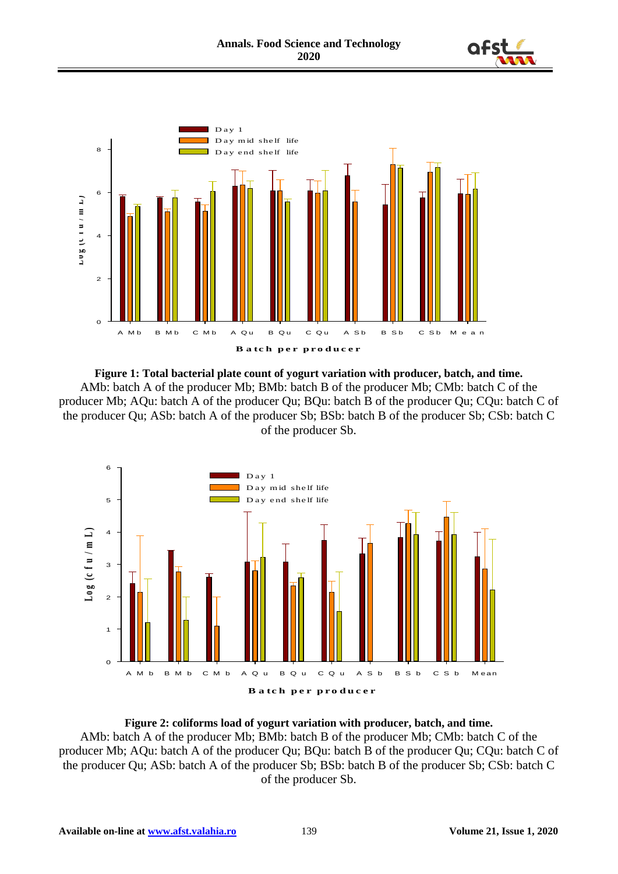



**Figure 1: Total bacterial plate count of yogurt variation with producer, batch, and time.** AMb: batch A of the producer Mb; BMb: batch B of the producer Mb; CMb: batch C of the producer Mb; AQu: batch A of the producer Qu; BQu: batch B of the producer Qu; CQu: batch C of the producer Qu; ASb: batch A of the producer Sb; BSb: batch B of the producer Sb; CSb: batch C of the producer Sb.



## **Figure 2: coliforms load of yogurt variation with producer, batch, and time.** AMb: batch A of the producer Mb; BMb: batch B of the producer Mb; CMb: batch C of the producer Mb; AQu: batch A of the producer Qu; BQu: batch B of the producer Qu; CQu: batch C of the producer Qu; ASb: batch A of the producer Sb; BSb: batch B of the producer Sb; CSb: batch C of the producer Sb.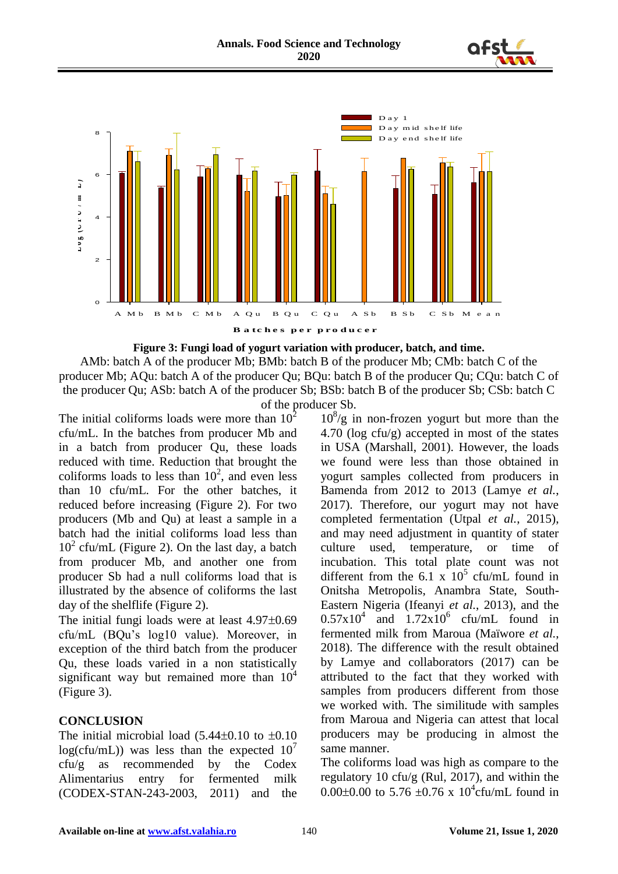





AMb: batch A of the producer Mb; BMb: batch B of the producer Mb; CMb: batch C of the producer Mb; AQu: batch A of the producer Qu; BQu: batch B of the producer Qu; CQu: batch C of the producer Qu; ASb: batch A of the producer Sb; BSb: batch B of the producer Sb; CSb: batch C of the producer Sb.

The initial coliforms loads were more than  $10<sup>2</sup>$ cfu/mL. In the batches from producer Mb and in a batch from producer Qu, these loads reduced with time. Reduction that brought the coliforms loads to less than  $10^2$ , and even less than 10 cfu/mL. For the other batches, it reduced before increasing (Figure 2). For two producers (Mb and Qu) at least a sample in a batch had the initial coliforms load less than  $10<sup>2</sup>$  cfu/mL (Figure 2). On the last day, a batch from producer Mb, and another one from producer Sb had a null coliforms load that is illustrated by the absence of coliforms the last day of the shelflife (Figure 2).

The initial fungi loads were at least  $4.97\pm0.69$ cfu/mL (BQu's log10 value). Moreover, in exception of the third batch from the producer Qu, these loads varied in a non statistically significant way but remained more than  $10^4$ (Figure 3).

## **CONCLUSION**

The initial microbial load  $(5.44\pm0.10 \text{ to } \pm 0.10$  $log(c$ fu/mL)) was less than the expected  $10<sup>7</sup>$ cfu/g as recommended by the Codex Alimentarius entry for fermented milk (CODEX-STAN-243-2003, 2011) and the

 $10<sup>8</sup>/g$  in non-frozen yogurt but more than the 4.70 (log cfu/g) accepted in most of the states in USA (Marshall, 2001). However, the loads we found were less than those obtained in yogurt samples collected from producers in Bamenda from 2012 to 2013 (Lamye *et al.*, 2017). Therefore, our yogurt may not have completed fermentation (Utpal *et al.*, 2015), and may need adjustment in quantity of stater culture used, temperature, or time of incubation. This total plate count was not different from the 6.1 x  $10^5$  cfu/mL found in Onitsha Metropolis, Anambra State, South-Eastern Nigeria (Ifeanyi *et al.*, 2013), and the  $0.57 \times 10^4$  and  $1.72 \times 10^6$  cfu/mL found in fermented milk from Maroua (Maïwore *et al.*, 2018). The difference with the result obtained by Lamye and collaborators (2017) can be attributed to the fact that they worked with samples from producers different from those we worked with. The similitude with samples from Maroua and Nigeria can attest that local producers may be producing in almost the same manner.

The coliforms load was high as compare to the regulatory 10 cfu/g (Rul, 2017), and within the 0.00 $\pm$ 0.00 to 5.76  $\pm$ 0.76 x 10<sup>4</sup>cfu/mL found in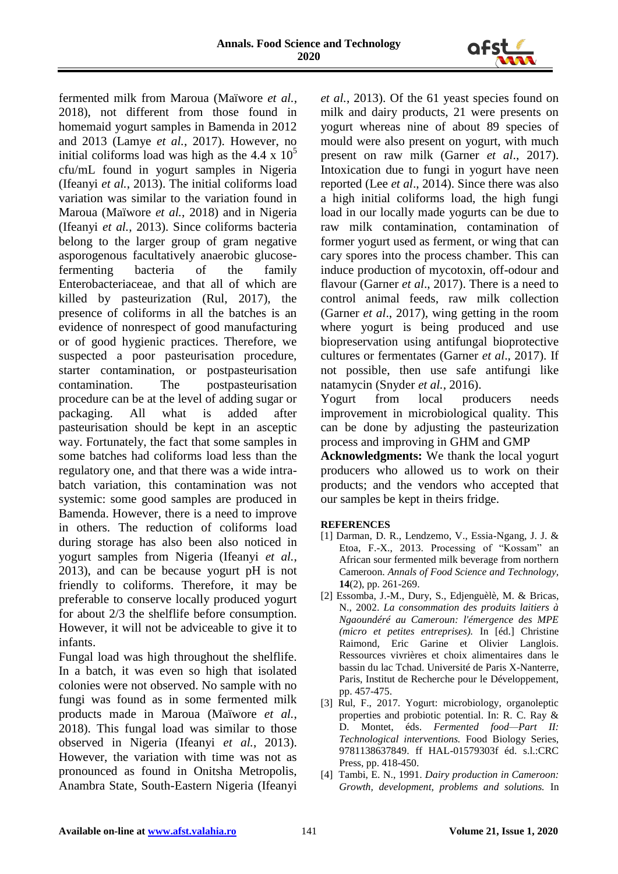

fermented milk from Maroua (Maïwore *et al.*, 2018), not different from those found in homemaid yogurt samples in Bamenda in 2012 and 2013 (Lamye *et al.*, 2017). However, no initial coliforms load was high as the 4.4 x  $10<sup>5</sup>$ cfu/mL found in yogurt samples in Nigeria (Ifeanyi *et al.*, 2013). The initial coliforms load variation was similar to the variation found in Maroua (Maïwore *et al.*, 2018) and in Nigeria (Ifeanyi *et al.*, 2013). Since coliforms bacteria belong to the larger group of gram negative asporogenous facultatively anaerobic glucosefermenting bacteria of the family Enterobacteriaceae, and that all of which are killed by pasteurization (Rul, 2017), the presence of coliforms in all the batches is an evidence of nonrespect of good manufacturing or of good hygienic practices. Therefore, we suspected a poor pasteurisation procedure, starter contamination, or postpasteurisation contamination. The postpasteurisation procedure can be at the level of adding sugar or packaging. All what is added after pasteurisation should be kept in an asceptic way. Fortunately, the fact that some samples in some batches had coliforms load less than the regulatory one, and that there was a wide intrabatch variation, this contamination was not systemic: some good samples are produced in Bamenda. However, there is a need to improve in others. The reduction of coliforms load during storage has also been also noticed in yogurt samples from Nigeria (Ifeanyi *et al.*, 2013), and can be because yogurt pH is not friendly to coliforms. Therefore, it may be preferable to conserve locally produced yogurt for about 2/3 the shelflife before consumption. However, it will not be adviceable to give it to infants.

Fungal load was high throughout the shelflife. In a batch, it was even so high that isolated colonies were not observed. No sample with no fungi was found as in some fermented milk products made in Maroua (Maïwore *et al.*, 2018). This fungal load was similar to those observed in Nigeria (Ifeanyi *et al.*, 2013). However, the variation with time was not as pronounced as found in Onitsha Metropolis, Anambra State, South-Eastern Nigeria (Ifeanyi

*et al.*, 2013). Of the 61 yeast species found on milk and dairy products, 21 were presents on yogurt whereas nine of about 89 species of mould were also present on yogurt, with much present on raw milk (Garner *et al*., 2017). Intoxication due to fungi in yogurt have neen reported (Lee *et al*., 2014). Since there was also a high initial coliforms load, the high fungi load in our locally made yogurts can be due to raw milk contamination, contamination of former yogurt used as ferment, or wing that can cary spores into the process chamber. This can induce production of mycotoxin, off-odour and flavour (Garner *et al*., 2017). There is a need to control animal feeds, raw milk collection (Garner *et al*., 2017), wing getting in the room where yogurt is being produced and use biopreservation using antifungal bioprotective cultures or fermentates (Garner *et al*., 2017). If not possible, then use safe antifungi like natamycin (Snyder *et al.*, 2016).

Yogurt from local producers needs improvement in microbiological quality. This can be done by adjusting the pasteurization process and improving in GHM and GMP

**Acknowledgments:** We thank the local yogurt producers who allowed us to work on their products; and the vendors who accepted that our samples be kept in theirs fridge.

### **REFERENCES**

- [1] Darman, D. R., Lendzemo, V., Essia-Ngang, J. J. & Etoa, F.-X., 2013. Processing of "Kossam" an African sour fermented milk beverage from northern Cameroon. *Annals of Food Science and Technology,*  **14**(2), pp. 261-269.
- [2] Essomba, J.-M., Dury, S., Edjenguèlè, M. & Bricas, N., 2002. *La consommation des produits laitiers à Ngaoundéré au Cameroun: l'émergence des MPE (micro et petites entreprises).* In [éd.] Christine Raimond, Eric Garine et Olivier Langlois. Ressources vivrières et choix alimentaires dans le bassin du lac Tchad. Université de Paris X-Nanterre, Paris, Institut de Recherche pour le Développement, pp. 457-475.
- [3] Rul, F., 2017. Yogurt: microbiology, organoleptic properties and probiotic potential. In: R. C. Ray & D. Montet, éds. *Fermented food—Part II: Technological interventions.* Food Biology Series, 9781138637849. ff HAL-01579303f éd. s.l.:CRC Press, pp. 418-450.
- [4] Tambi, E. N., 1991. *Dairy production in Cameroon: Growth, development, problems and solutions.* In